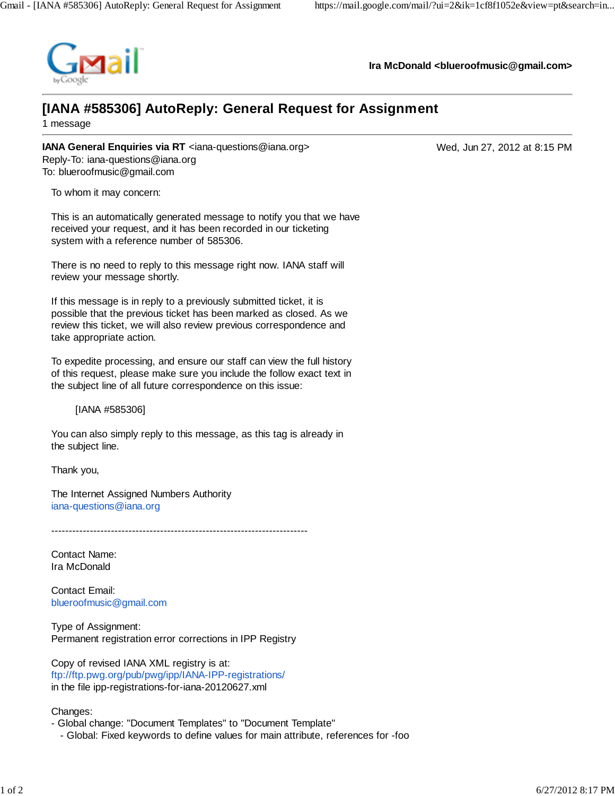

**Ira McDonald <blueroofmusic@gmail.com>**

## **[IANA #585306] AutoReply: General Request for Assignment**

1 message

**IANA General Enquiries via RT** <iana-questions@iana.org> Wed, Jun 27, 2012 at 8:15 PM Reply-To: iana-questions@iana.org To: blueroofmusic@gmail.com

To whom it may concern:

This is an automatically generated message to notify you that we have received your request, and it has been recorded in our ticketing system with a reference number of 585306.

There is no need to reply to this message right now. IANA staff will review your message shortly.

If this message is in reply to a previously submitted ticket, it is possible that the previous ticket has been marked as closed. As we review this ticket, we will also review previous correspondence and take appropriate action.

To expedite processing, and ensure our staff can view the full history of this request, please make sure you include the follow exact text in the subject line of all future correspondence on this issue:

[IANA #585306]

You can also simply reply to this message, as this tag is already in the subject line.

Thank you,

The Internet Assigned Numbers Authority iana-questions@iana.org

 $-$ 

Contact Name: Ira McDonald

Contact Email: blueroofmusic@gmail.com

Type of Assignment: Permanent registration error corrections in IPP Registry

Copy of revised IANA XML registry is at: ftp://ftp.pwg.org/pub/pwg/ipp/IANA-IPP-registrations/ in the file ipp-registrations-for-iana-20120627.xml

Changes:

- Global change: "Document Templates" to "Document Template"

- Global: Fixed keywords to define values for main attribute, references for -foo